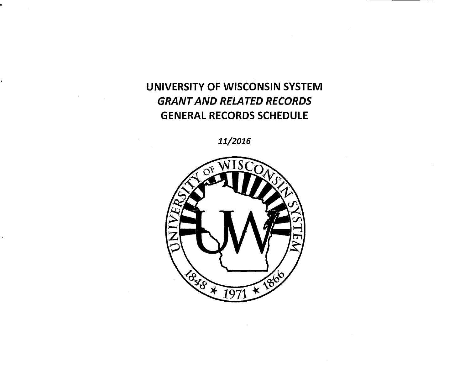## UNIVERSITY OF WISCONSIN SYSTEM GRANT AND RELATED RECORDS GENERAL RECORDS SCHEDULE

*11/2016* 

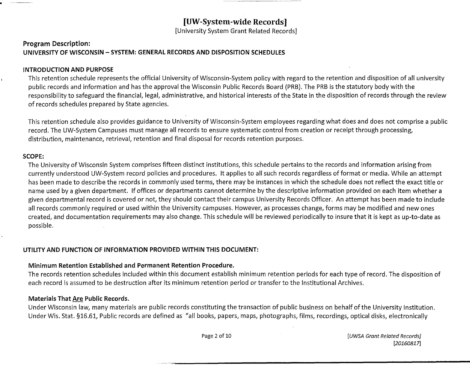[University System Grant Related Records]

#### **Program Description: UNIVERSITY OF WISCONSIN - SYSTEM: GENERAL RECORDS AND DISPOSITION SCHEDULES**

#### **INTRODUCTION AND PURPOSE**

This retention schedule represents the official University of Wisconsin-System policy with regard to the retention and disposition of all university public records and information and has the approval the Wisconsin Public Records Board (PRB). The PRB is the statutory body with the responsibility to safeguard the financial, legal, administrative, and historical interests of the State in the disposition of records through the review of records schedules prepared by State agencies.

This retention schedule also provides guidance to University of Wisconsin-System employees regarding what does and does not comprise a public record. The UW-System Campuses must manage all records to ensure systematic control from creation or receipt through processing, distribution, maintenance, retrieval, retention and final disposal for records retention purposes.

#### **SCOPE:**

The University of Wisconsin System comprises fifteen distinct institutions, this schedule pertains to the records and information arising from currently understood UW-System record policies and procedures. It applies to all such records regardless of format or media. While an attempt has been made to describe the records in commonly used terms, there may be instances in which the schedule does not reflect the exact title or name used by a given department. If offices or departments cannot determine by the descriptive information provided on each item whether a given departmental record is covered or not, they should contact their campus University Records Officer. An attempt has been made to include all records commonly required or used within the University campuses. However, as processes change, forms may be modified and new ones created, and documentation requirements may also change. This schedule will be reviewed periodically to insure that it is kept as up-to-date as possible.

#### **UTILITY AND FUNCTION OF INFORMATION PROVIDED WITHIN THIS DOCUMENT:**

#### **Minimum Retention Established and Permanent Retention Procedure.**

The records retention schedules included within this document establish minimum retention periods for each type of record. The disposition of each record is assumed to be destruction after its minimum retention period or transfer to the Institutional Archives.

#### **Materials That Are Public Records.**

Under Wisconsin law, many materials are public records constituting the transaction of public business on behalf of the University Institution. Under Wis. Stat. §16.61, Public records are defined as "all books, papers, maps, photographs, films, recordings, optical disks, electronically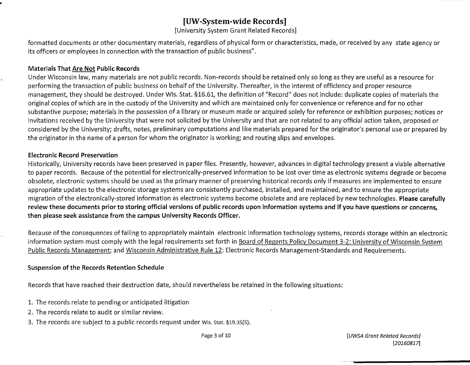[University System Grant Related Records]

formatted documents or other documentary materials, regardless of physical form or characteristics, made, or received by any state agency or its officers or employees in connection with the transaction of public business".

#### **Materials That Are Not Public Records**

Under Wisconsin law, many materials are not public records. Non-records should be retained only so long as they are useful as a resource for performing the transaction of public business on behalf of the University. Thereafter, in the interest of efficiency and proper resource management, they should be destroyed. Under Wis. Stat. §16.61, the definition of "Record" does not include: duplicate copies of materials the original copies of which are in the custody of the University and which are maintained only for convenience or reference and for no other substantive purpose; materials in the possession of a library or museum made or acquired solely for reference or exhibition purposes; notices or invitations received by the University that were not solicited by the University and that are not related to any official action taken, proposed or considered by the University; drafts, notes, preliminary computations and like materials prepared for the originator's personal use or prepared by the originator in the name of a person-for whom the originator is working; and routing slips and envelopes.

#### **Electronic Record Preservation**

Historically, University records have been preserved in paper files. Presently, however, advances in digital technology present a viable alternative to paper records. Because of the potential for electronically-preserved information to be lost over time as electronic systems degrade or become obsolete, electronic systems should be used as the primary manner of preserving historical records only if measures are implemented to ensure appropriate updates to the electronic storage systems are consistently purchased, installed, and maintained, and to ensure the appropriate migration of the electronically-stored information as electronic systems become obsolete and are replaced by new technologies. **Please carefully review these documents prior to storing official versions of public records upon information systems and if you have questions or concerns, then please seek assistance from the campus University Records Officer.** 

Because of the consequences of failing to appropriately maintain electronic information technology systems, records storage within an electronic information system must comply with the legal requirements set forth in Board of Regents Policy Document 3-2: University of Wisconsin System Public Records Management; and Wisconsin Administrative Rule 12: Electronic Records Management-Standards and Requirements.

#### **Suspension of the Records Retention Schedule**

Records that have reached their destruction date, should nevertheless be retained in the following situations:

- 1. The records relate to pending or anticipated litigation
- 2. The records relate to audit or similar review.
- 3. The records are subject to a public records request under Wis. stat. §19.35(5).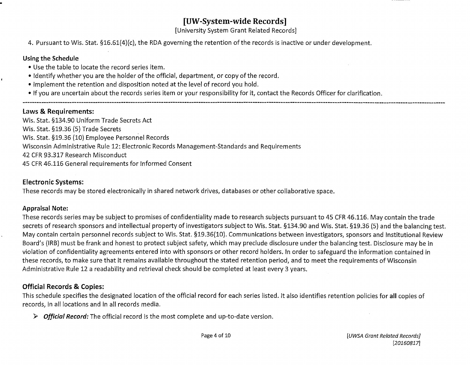[University System Grant Related Records]

4. Pursuant to Wis. Stat. §16.61(4}(c), the RDA governing the retention of the records is inactive or under development.

#### **Using the Schedule**

- Use the table to locate the record series item.
- Identify whether you are the holder of the official, department, or copy of the record.
- Implement the retention and disposition noted at the level of record you hold.
- If you are uncertain about the records series item or your responsibility for it, contact the Records Officer for clarification.

#### **Laws & Requirements:**

Wis. Stat. §134.90 Uniform Trade Secrets Act Wis. Stat. §19.36 (5) Trade Secrets Wis. Stat. §19.36 (10) Employee Personnel Records Wisconsin Administrative Rule 12: Electronic Records Management-Standards and Requirements 42 CFR 93.317 Research Misconduct 45 CFR 46.116 General requirements for Informed Consent

#### **Electronic Systems:**

These records may be stored electronically in shared network drives, databases or other collaborative space.

#### **Appraisal Note:**

These records series may be subject to promises of confidentiality made to research subjects pursuant to 45 CFR 46.116. May contain the trade secrets of research sponsors and intellectual property of investigators subject to Wis. Stat. §134.90 and Wis. Stat. §19.36 (5) and the balancing test. May contain certain personnel records subject to Wis. Stat. §19.36(10). Communications between investigators, sponsors and Institutional Review Board's (!RB) must be frank and honest to protect subject safety, which may preclude disclosure under the balancing test. Disclosure may be in violation of confidentiality agreements entered into with sponsors or other record holders. In order to safeguard the information contained in these records, to make sure that it remains available throughout the stated retention period, and to meet the requirements of Wisconsin Administrative Rule 12 a readability and retrieval check should be completed at least every 3 years.

#### **Official Records & Copies:**

This schedule specifies the designated location of the official record for each series listed. It also identifies retention policies for **all** copies of records, in all locations and in all records media.

<sup>~</sup>*Official Record:* The official record is the most complete and up-to-date version.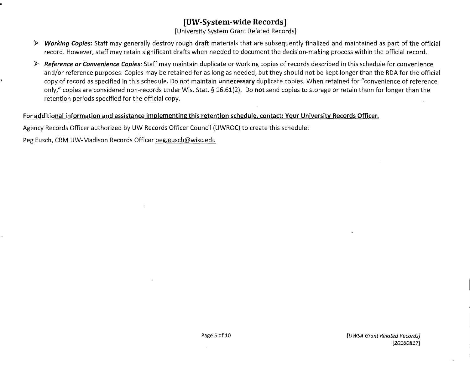[University System Grant Related Records]

- >- **Working Copies:** Staff may generally destroy rough draft materials that are subsequently finalized and maintained as part of the official record. However, staff may retain significant drafts when needed to document the decision-making process within the official record.
- >- **Reference or Convenience Copies:** Staff may maintain duplicate or working copies of records described in this schedule for convenience and/or reference purposes. Copies may be retained for as long as needed, but they should not be kept longer than the RDA for the official copy of record as specified in this schedule. Do not maintain **unnecessary** duplicate copies. When retained for "convenience of reference only," copies are considered non-records under Wis. Stat. § 16.61(2). Do **not** send copies to storage or retain them for longer than the retention periods specified for the official copy.

#### **For additional information and assistance implementing this retention schedule, contact: Your University Records Officer.**

Agency Records Officer authorized by UW Records Officer Council (UWROC} to create this schedule:

Peg Eusch, CRM UW-Madison Records Officer peg.eusch@wisc.edu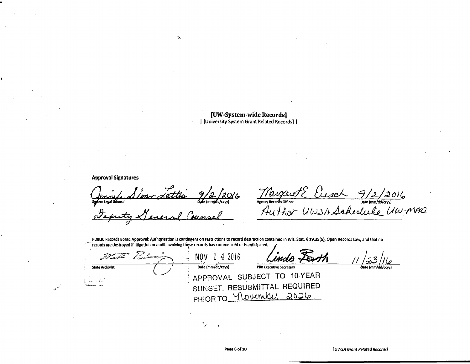#### [UW-System-wide Records] | [University System Grant Related Records] |

**Approval Signatures** 

 $\frac{9}{2}$  2 30/6 ndettis System Legal dounsel

 $2\pi$ 

Margaret Elisabet 9/2/2016<br>Agency Records Officer<br>Author UWSA Scheelelle UW-MAD.

PUBLIC Records Board Approval: Authorization is contingent on restrictions to record destruction contained in Wis. Stat. § 19.35(5), Open Records Law, and that no  $\mathcal{P}^{\prime\prime}$ records are destroyed if litigation or audit involving these records has commenced or is anticipated.

| المستخدمة المريح       | range de la provincia de la provincia de la provincia de la provincia de la provincia de la provincia de la pr<br>La provincia de la provincia de la provincia de la provincia de la provincia de la provincia de la provincia d | 4 2016            | Linda Forth                    |                   |
|------------------------|----------------------------------------------------------------------------------------------------------------------------------------------------------------------------------------------------------------------------------|-------------------|--------------------------------|-------------------|
| <b>State Archivist</b> |                                                                                                                                                                                                                                  | Date (mm/dd/ccvv) | <b>PRB Executive Secretary</b> | Date (mm/dd/ccyy) |
|                        |                                                                                                                                                                                                                                  |                   | APPROVAL SUBJECT TO 10-YEAR    |                   |
| ساجان المساد فشكاتنا   |                                                                                                                                                                                                                                  |                   | SUNSET. RESUBMITTAL REQUIRED   |                   |
|                        |                                                                                                                                                                                                                                  |                   | PRIOR TO <u>November</u> 2026  |                   |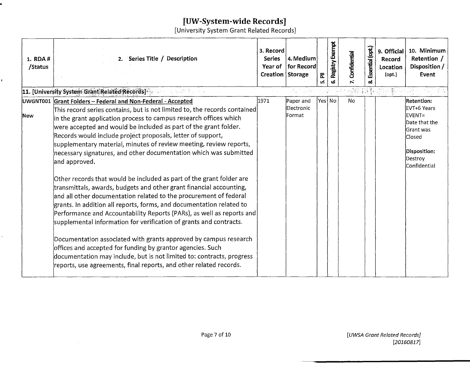[University System Grant Related Records]

| 1. RDA #<br>/Status | 2. Series Title / Description                                                                                                                                                                                                                                                                                                                                                                                                                                                                                                                                                                                                                                                                                                                                                                                                                                                                                                                                                                                                      | 3. Record<br><b>Series</b><br>Year of<br>Creation Storage | 4. Medium<br>for Record | Σ<br>นว่ | Registry Exempt | Confidential | Essential (opt.) | 9. Official<br>Record<br>Location<br>$($ opt. $)$ | 10. Minimum<br>Retention /<br>Disposition /<br>Event                                                            |
|---------------------|------------------------------------------------------------------------------------------------------------------------------------------------------------------------------------------------------------------------------------------------------------------------------------------------------------------------------------------------------------------------------------------------------------------------------------------------------------------------------------------------------------------------------------------------------------------------------------------------------------------------------------------------------------------------------------------------------------------------------------------------------------------------------------------------------------------------------------------------------------------------------------------------------------------------------------------------------------------------------------------------------------------------------------|-----------------------------------------------------------|-------------------------|----------|-----------------|--------------|------------------|---------------------------------------------------|-----------------------------------------------------------------------------------------------------------------|
|                     | 11. [University System Grant Related Records]<br>医腹股沟 有关的                                                                                                                                                                                                                                                                                                                                                                                                                                                                                                                                                                                                                                                                                                                                                                                                                                                                                                                                                                          |                                                           |                         |          |                 |              |                  |                                                   |                                                                                                                 |
|                     | UWGNT001 Grant Folders - Federal and Non-Federal - Accepted                                                                                                                                                                                                                                                                                                                                                                                                                                                                                                                                                                                                                                                                                                                                                                                                                                                                                                                                                                        | 1971                                                      | Paper and               |          | Yes No          | No           |                  |                                                   | <b>Retention:</b>                                                                                               |
| New                 | This record series contains, but is not limited to, the records contained $\vert$<br>in the grant application process to campus research offices which<br>were accepted and would be included as part of the grant folder.<br>Records would include project proposals, letter of support,<br>supplementary material, minutes of review meeting, review reports,<br>necessary signatures, and other documentation which was submitted<br>and approved.<br>Other records that would be included as part of the grant folder are<br>transmittals, awards, budgets and other grant financial accounting,<br>and all other documentation related to the procurement of federal<br>grants. In addition all reports, forms, and documentation related to<br>Performance and Accountability Reports (PARs), as well as reports and<br>supplemental information for verification of grants and contracts.<br>Documentation associated with grants approved by campus research<br>offices and accepted for funding by grantor agencies. Such |                                                           | Electronic<br>Format    |          |                 |              |                  |                                                   | EVT+6 Years<br>EVENT=<br>Date that the<br><b>Grant was</b><br>Closed<br>Disposition:<br>Destroy<br>Confidential |
|                     | documentation may include, but is not limited to: contracts, progress<br>reports, use agreements, final reports, and other related records.                                                                                                                                                                                                                                                                                                                                                                                                                                                                                                                                                                                                                                                                                                                                                                                                                                                                                        |                                                           |                         |          |                 |              |                  |                                                   |                                                                                                                 |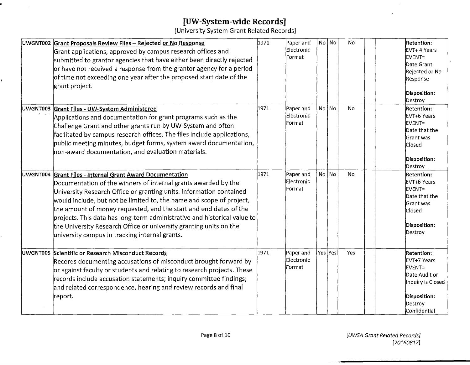$\sim$ 

[University System Grant Related Records]

| UWGNT002 Grant Proposals Review Files - Rejected or No Response<br>Grant applications, approved by campus research offices and<br>submitted to grantor agencies that have either been directly rejected<br>or have not received a response from the grantor agency for a period<br>of time not exceeding one year after the proposed start date of the<br>grant project.                                                                                                                                                                            | 1971 | Paper and<br>Electronic<br>Format | No No   | No        | <b>Retention:</b><br>EVT+ 4 Years<br>EVENT=<br>Date Grant<br>Rejected or No<br>Response<br>Disposition:<br>Destroy   |
|-----------------------------------------------------------------------------------------------------------------------------------------------------------------------------------------------------------------------------------------------------------------------------------------------------------------------------------------------------------------------------------------------------------------------------------------------------------------------------------------------------------------------------------------------------|------|-----------------------------------|---------|-----------|----------------------------------------------------------------------------------------------------------------------|
| UWGNT003 Grant Files - UW-System Administered<br>Applications and documentation for grant programs such as the<br>Challenge Grant and other grants run by UW-System and often<br>facilitated by campus research offices. The files include applications,<br>public meeting minutes, budget forms, system award documentation,<br>non-award documentation, and evaluation materials.                                                                                                                                                                 | 1971 | Paper and<br>Electronic<br>Format | NolNo   | No        | Retention:<br>EVT+6 Years<br>EVENT=<br>Date that the<br><b>Grant was</b><br><b>Closed</b><br>Disposition:<br>Destroy |
| UWGNT004 Grant Files - Internal Grant Award Documentation<br>Documentation of the winners of internal grants awarded by the<br>University Research Office or granting units. Information contained<br>would include, but not be limited to, the name and scope of project,<br>the amount of money requested, and the start and end dates of the<br>projects. This data has long-term administrative and historical value to<br>the University Research Office or university granting units on the<br>university campus in tracking internal grants. | 1971 | Paper and<br>Electronic<br>Format | No No   | <b>No</b> | <b>Retention:</b><br>EVT+6 Years<br>EVENT=<br>Date that the<br>Grant was<br>Closed<br>Disposition:<br>Destroy        |
| UWGNT005 Scientific or Research Misconduct Records<br>Records documenting accusations of misconduct brought forward by<br>or against faculty or students and relating to research projects. These<br>records include accusation statements; inquiry committee findings;<br>and related correspondence, hearing and review records and final<br> report.                                                                                                                                                                                             | 1971 | Paper and<br>Electronic<br>Format | Yes Yes | Yes       | Retention:<br>EVT+7 Years<br>EVENT=<br>Date Audit or<br>Inquiry is Closed<br>Disposition:<br>Destroy<br>Confidential |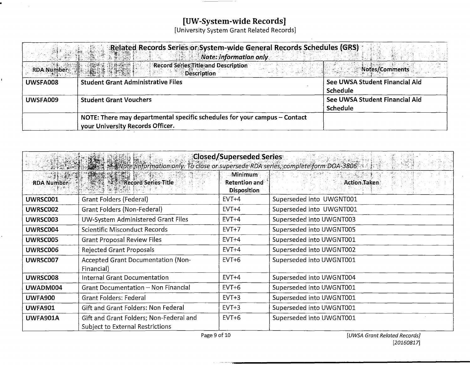# [UW-System-wide Records]<br>[University System Grant Related Records]

 $\mathcal{L}$ 

|                   | Related Records Series or System-wide General Records Schedules (GRS)<br><b>Note: information only</b> |                                |
|-------------------|--------------------------------------------------------------------------------------------------------|--------------------------------|
| <b>RDA Number</b> | Record Series Title and Description<br><b>Description</b>                                              | Notes/Comments                 |
| UWSFA008          | <b>Student Grant Administrative Files</b>                                                              | See UWSA Student Financial Aid |
|                   |                                                                                                        | Schedule                       |
| UWSFA009          | <b>Student Grant Vouchers</b>                                                                          | See UWSA Student Financial Aid |
|                   |                                                                                                        | Schedule                       |
|                   | NOTE: There may departmental specific schedules for your campus $-$ Contact                            |                                |
|                   | your University Records Officer.                                                                       |                                |

|                               | $\mathbb{R}$ . Wote information only. To close or supersede RDA series, complete form DOA-3806 $\cdots$ | Closed/Superseded Series                                     |                          |
|-------------------------------|---------------------------------------------------------------------------------------------------------|--------------------------------------------------------------|--------------------------|
| $-51.11$<br><b>RDA Number</b> |                                                                                                         | <b>Minimum</b><br><b>Retention and</b><br><b>Disposition</b> | <b>Action Taken</b>      |
| UWRSC001                      | <b>Grant Folders (Federal)</b>                                                                          | $EVT+4$                                                      | Superseded into UWGNT001 |
| UWRSC002                      | Grant Folders (Non-Federal)                                                                             | $EVT+4$                                                      | Superseded into UWGNT001 |
| UWRSC003                      | UW-System Administered Grant Files                                                                      | $EVT+4$                                                      | Superseded into UWGNT003 |
| UWRSC004                      | Scientific Misconduct Records                                                                           | $EVT+7$                                                      | Superseded into UWGNT005 |
| UWRSC005                      | <b>Grant Proposal Review Files</b>                                                                      | $EVT+4$                                                      | Superseded into UWGNT001 |
| <b>UWRSC006</b>               | <b>Rejected Grant Proposals</b>                                                                         | $EVT+4$                                                      | Superseded into UWGNT002 |
| UWRSC007                      | <b>Accepted Grant Documentation (Non-</b><br>Financial)                                                 | $EVT+6$                                                      | Superseded into UWGNT001 |
| <b>UWRSC008</b>               | Internal Grant Documentation                                                                            | $EVT+4$                                                      | Superseded into UWGNT004 |
| UWADM004                      | <b>Grant Documentation - Non Financial</b>                                                              | $EVT+6$                                                      | Superseded into UWGNT001 |
| <b>UWFA900</b>                | <b>Grant Folders: Federal</b>                                                                           | $EVT+3$                                                      | Superseded into UWGNT001 |
| <b>UWFA901</b>                | Gift and Grant Folders: Non Federal                                                                     | $EVT+3$                                                      | Superseded into UWGNT001 |
| UWFA901A                      | Gift and Grant Folders; Non-Federal and<br><b>Subject to External Restrictions</b>                      | $EVT+6$                                                      | Superseded into UWGNT001 |